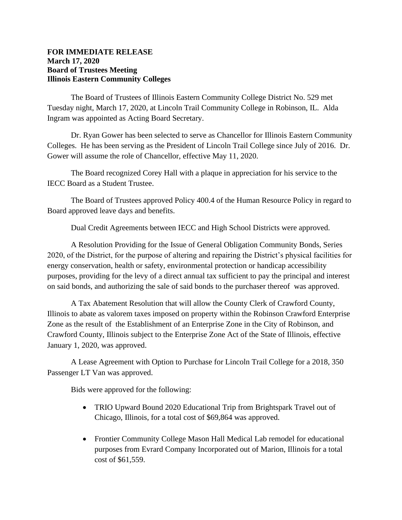## **FOR IMMEDIATE RELEASE March 17, 2020 Board of Trustees Meeting Illinois Eastern Community Colleges**

The Board of Trustees of Illinois Eastern Community College District No. 529 met Tuesday night, March 17, 2020, at Lincoln Trail Community College in Robinson, IL. Alda Ingram was appointed as Acting Board Secretary.

Dr. Ryan Gower has been selected to serve as Chancellor for Illinois Eastern Community Colleges. He has been serving as the President of Lincoln Trail College since July of 2016. Dr. Gower will assume the role of Chancellor, effective May 11, 2020.

The Board recognized Corey Hall with a plaque in appreciation for his service to the IECC Board as a Student Trustee.

The Board of Trustees approved Policy 400.4 of the Human Resource Policy in regard to Board approved leave days and benefits.

Dual Credit Agreements between IECC and High School Districts were approved.

A Resolution Providing for the Issue of General Obligation Community Bonds, Series 2020, of the District, for the purpose of altering and repairing the District's physical facilities for energy conservation, health or safety, environmental protection or handicap accessibility purposes, providing for the levy of a direct annual tax sufficient to pay the principal and interest on said bonds, and authorizing the sale of said bonds to the purchaser thereof was approved.

A Tax Abatement Resolution that will allow the County Clerk of Crawford County, Illinois to abate as valorem taxes imposed on property within the Robinson Crawford Enterprise Zone as the result of the Establishment of an Enterprise Zone in the City of Robinson, and Crawford County, Illinois subject to the Enterprise Zone Act of the State of Illinois, effective January 1, 2020, was approved.

A Lease Agreement with Option to Purchase for Lincoln Trail College for a 2018, 350 Passenger LT Van was approved.

Bids were approved for the following:

- TRIO Upward Bound 2020 Educational Trip from Brightspark Travel out of Chicago, Illinois, for a total cost of \$69,864 was approved.
- Frontier Community College Mason Hall Medical Lab remodel for educational purposes from Evrard Company Incorporated out of Marion, Illinois for a total cost of \$61,559.